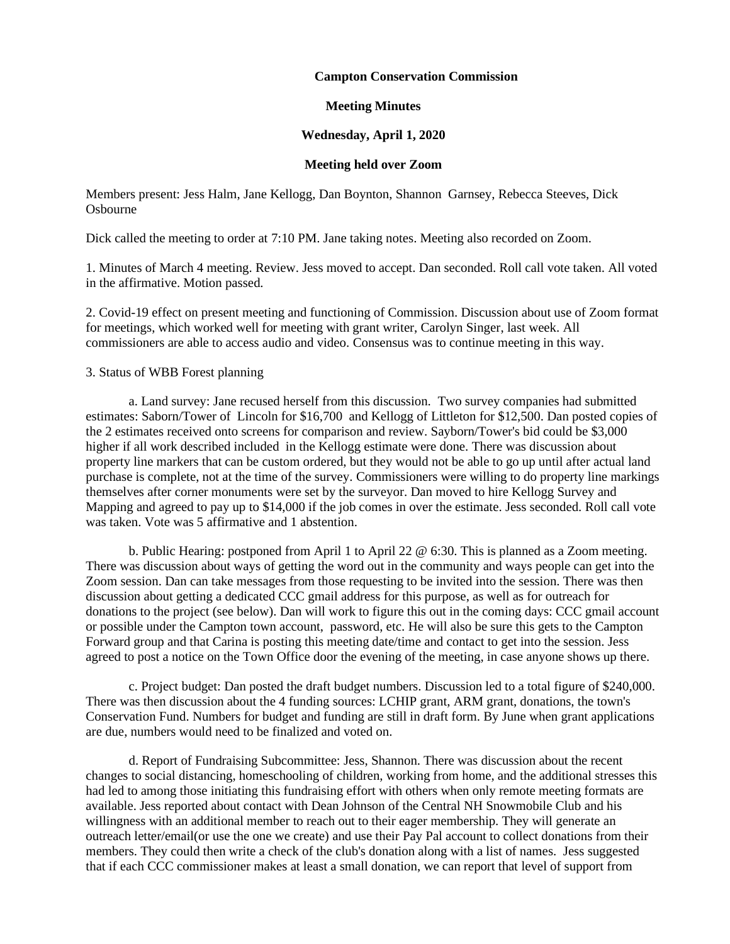### **Campton Conservation Commission**

## **Meeting Minutes**

# **Wednesday, April 1, 2020**

### **Meeting held over Zoom**

Members present: Jess Halm, Jane Kellogg, Dan Boynton, Shannon Garnsey, Rebecca Steeves, Dick Osbourne

Dick called the meeting to order at 7:10 PM. Jane taking notes. Meeting also recorded on Zoom.

1. Minutes of March 4 meeting. Review. Jess moved to accept. Dan seconded. Roll call vote taken. All voted in the affirmative. Motion passed.

2. Covid-19 effect on present meeting and functioning of Commission. Discussion about use of Zoom format for meetings, which worked well for meeting with grant writer, Carolyn Singer, last week. All commissioners are able to access audio and video. Consensus was to continue meeting in this way.

### 3. Status of WBB Forest planning

a. Land survey: Jane recused herself from this discussion. Two survey companies had submitted estimates: Saborn/Tower of Lincoln for \$16,700 and Kellogg of Littleton for \$12,500. Dan posted copies of the 2 estimates received onto screens for comparison and review. Sayborn/Tower's bid could be \$3,000 higher if all work described included in the Kellogg estimate were done. There was discussion about property line markers that can be custom ordered, but they would not be able to go up until after actual land purchase is complete, not at the time of the survey. Commissioners were willing to do property line markings themselves after corner monuments were set by the surveyor. Dan moved to hire Kellogg Survey and Mapping and agreed to pay up to \$14,000 if the job comes in over the estimate. Jess seconded. Roll call vote was taken. Vote was 5 affirmative and 1 abstention.

b. Public Hearing: postponed from April 1 to April 22 @ 6:30. This is planned as a Zoom meeting. There was discussion about ways of getting the word out in the community and ways people can get into the Zoom session. Dan can take messages from those requesting to be invited into the session. There was then discussion about getting a dedicated CCC gmail address for this purpose, as well as for outreach for donations to the project (see below). Dan will work to figure this out in the coming days: CCC gmail account or possible under the Campton town account, password, etc. He will also be sure this gets to the Campton Forward group and that Carina is posting this meeting date/time and contact to get into the session. Jess agreed to post a notice on the Town Office door the evening of the meeting, in case anyone shows up there.

c. Project budget: Dan posted the draft budget numbers. Discussion led to a total figure of \$240,000. There was then discussion about the 4 funding sources: LCHIP grant, ARM grant, donations, the town's Conservation Fund. Numbers for budget and funding are still in draft form. By June when grant applications are due, numbers would need to be finalized and voted on.

d. Report of Fundraising Subcommittee: Jess, Shannon. There was discussion about the recent changes to social distancing, homeschooling of children, working from home, and the additional stresses this had led to among those initiating this fundraising effort with others when only remote meeting formats are available. Jess reported about contact with Dean Johnson of the Central NH Snowmobile Club and his willingness with an additional member to reach out to their eager membership. They will generate an outreach letter/email(or use the one we create) and use their Pay Pal account to collect donations from their members. They could then write a check of the club's donation along with a list of names. Jess suggested that if each CCC commissioner makes at least a small donation, we can report that level of support from